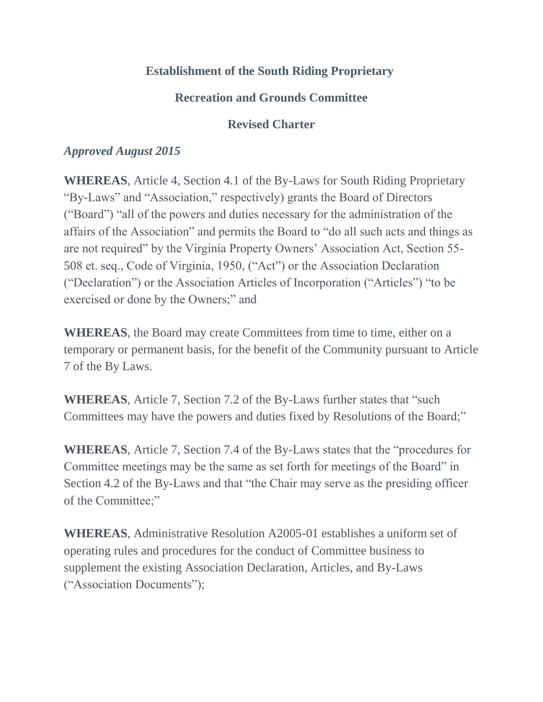## **Establishment of the South Riding Proprietary**

## **Recreation and Grounds Committee**

### **Revised Charter**

#### *Approved August 2015*

**WHEREAS**, Article 4, Section 4.1 of the By-Laws for South Riding Proprietary "By-Laws" and "Association," respectively) grants the Board of Directors ("Board") "all of the powers and duties necessary for the administration of the affairs of the Association" and permits the Board to "do all such acts and things as are not required" by the Virginia Property Owners' Association Act, Section 55- 508 et. seq., Code of Virginia, 1950, ("Act") or the Association Declaration ("Declaration") or the Association Articles of Incorporation ("Articles") "to be exercised or done by the Owners;" and

**WHEREAS**, the Board may create Committees from time to time, either on a temporary or permanent basis, for the benefit of the Community pursuant to Article 7 of the By Laws.

**WHEREAS**, Article 7, Section 7.2 of the By-Laws further states that "such Committees may have the powers and duties fixed by Resolutions of the Board;"

**WHEREAS**, Article 7, Section 7.4 of the By-Laws states that the "procedures for Committee meetings may be the same as set forth for meetings of the Board" in Section 4.2 of the By-Laws and that "the Chair may serve as the presiding officer of the Committee;"

**WHEREAS**, Administrative Resolution A2005-01 establishes a uniform set of operating rules and procedures for the conduct of Committee business to supplement the existing Association Declaration, Articles, and By-Laws ("Association Documents");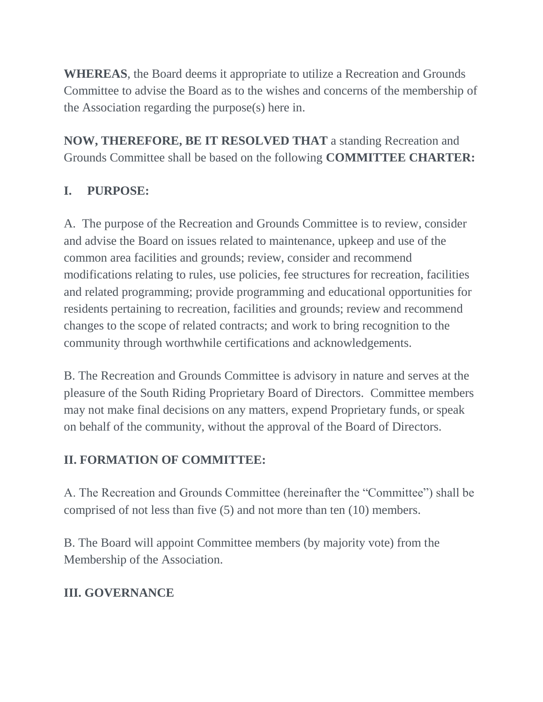**WHEREAS**, the Board deems it appropriate to utilize a Recreation and Grounds Committee to advise the Board as to the wishes and concerns of the membership of the Association regarding the purpose(s) here in.

**NOW, THEREFORE, BE IT RESOLVED THAT** a standing Recreation and Grounds Committee shall be based on the following **COMMITTEE CHARTER:**

# **I. PURPOSE:**

A. The purpose of the Recreation and Grounds Committee is to review, consider and advise the Board on issues related to maintenance, upkeep and use of the common area facilities and grounds; review, consider and recommend modifications relating to rules, use policies, fee structures for recreation, facilities and related programming; provide programming and educational opportunities for residents pertaining to recreation, facilities and grounds; review and recommend changes to the scope of related contracts; and work to bring recognition to the community through worthwhile certifications and acknowledgements.

B. The Recreation and Grounds Committee is advisory in nature and serves at the pleasure of the South Riding Proprietary Board of Directors. Committee members may not make final decisions on any matters, expend Proprietary funds, or speak on behalf of the community, without the approval of the Board of Directors.

### **II. FORMATION OF COMMITTEE:**

A. The Recreation and Grounds Committee (hereinafter the "Committee") shall be comprised of not less than five (5) and not more than ten (10) members.

B. The Board will appoint Committee members (by majority vote) from the Membership of the Association.

### **III. GOVERNANCE**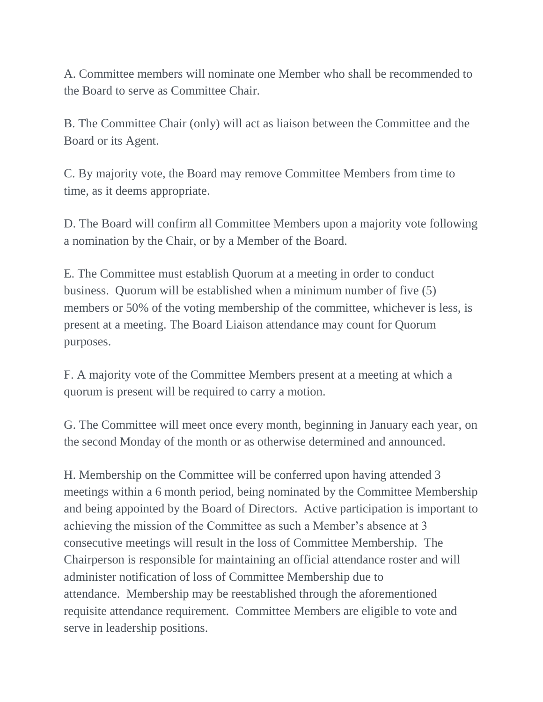A. Committee members will nominate one Member who shall be recommended to the Board to serve as Committee Chair.

B. The Committee Chair (only) will act as liaison between the Committee and the Board or its Agent.

C. By majority vote, the Board may remove Committee Members from time to time, as it deems appropriate.

D. The Board will confirm all Committee Members upon a majority vote following a nomination by the Chair, or by a Member of the Board.

E. The Committee must establish Quorum at a meeting in order to conduct business. Quorum will be established when a minimum number of five (5) members or 50% of the voting membership of the committee, whichever is less, is present at a meeting. The Board Liaison attendance may count for Quorum purposes.

F. A majority vote of the Committee Members present at a meeting at which a quorum is present will be required to carry a motion.

G. The Committee will meet once every month, beginning in January each year, on the second Monday of the month or as otherwise determined and announced.

H. Membership on the Committee will be conferred upon having attended 3 meetings within a 6 month period, being nominated by the Committee Membership and being appointed by the Board of Directors. Active participation is important to achieving the mission of the Committee as such a Member's absence at 3 consecutive meetings will result in the loss of Committee Membership. The Chairperson is responsible for maintaining an official attendance roster and will administer notification of loss of Committee Membership due to attendance. Membership may be reestablished through the aforementioned requisite attendance requirement. Committee Members are eligible to vote and serve in leadership positions.